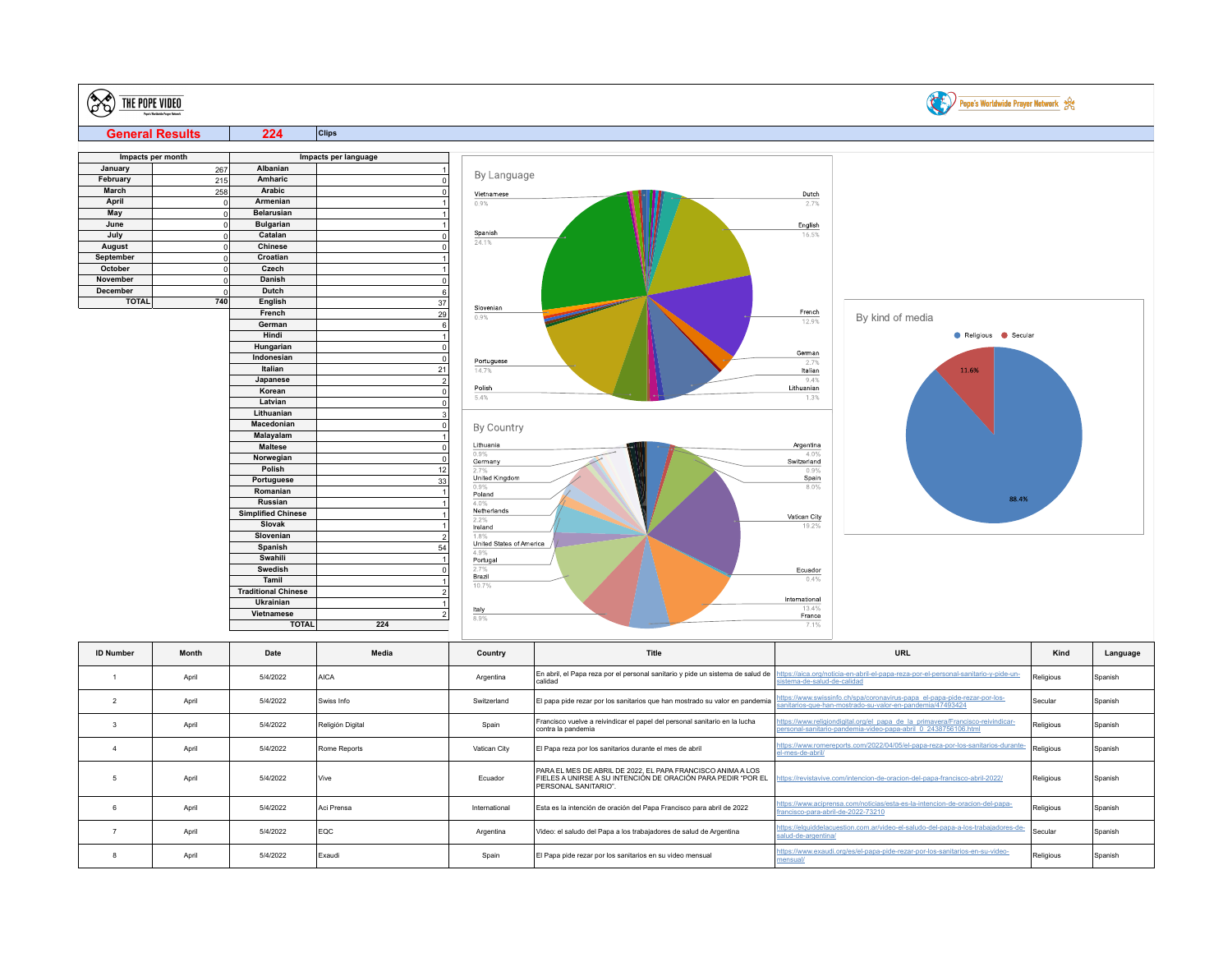| <b>CE</b>        | THE POPE VIDEO         |                               |                      |                                  |                                                                                                  |                            | Pope's Worldwide Prayer Network                                                                                                                 |           |          |
|------------------|------------------------|-------------------------------|----------------------|----------------------------------|--------------------------------------------------------------------------------------------------|----------------------------|-------------------------------------------------------------------------------------------------------------------------------------------------|-----------|----------|
|                  | <b>General Results</b> | 224                           | <b>Clips</b>         |                                  |                                                                                                  |                            |                                                                                                                                                 |           |          |
|                  |                        |                               |                      |                                  |                                                                                                  |                            |                                                                                                                                                 |           |          |
| January          | Impacts per month      | Albanian                      | Impacts per language |                                  |                                                                                                  |                            |                                                                                                                                                 |           |          |
| February         | 267                    | Amharic                       |                      | By Language                      |                                                                                                  |                            |                                                                                                                                                 |           |          |
|                  | 215                    |                               | 0                    |                                  |                                                                                                  |                            |                                                                                                                                                 |           |          |
| <b>March</b>     | 258                    | Arabic                        | $\Omega$             | Vietnamese                       |                                                                                                  | Dutch                      |                                                                                                                                                 |           |          |
| April<br>May     | ol                     | Armenian<br><b>Belarusian</b> |                      | 0.9%                             |                                                                                                  | 2.7%                       |                                                                                                                                                 |           |          |
| June             | 0 <br> 0               | <b>Bulgarian</b>              |                      |                                  |                                                                                                  |                            |                                                                                                                                                 |           |          |
| July             | 0                      | Catalan                       | 0                    | Spanish                          |                                                                                                  | English<br>16.5%           |                                                                                                                                                 |           |          |
| August           | 0                      | <b>Chinese</b>                | $\Omega$             | 24.1%                            |                                                                                                  |                            |                                                                                                                                                 |           |          |
| September        | 0                      | Croatian                      |                      |                                  |                                                                                                  |                            |                                                                                                                                                 |           |          |
| October          | 0                      | Czech                         |                      |                                  |                                                                                                  |                            |                                                                                                                                                 |           |          |
| November         | 0                      | Danish                        | 0                    |                                  |                                                                                                  |                            |                                                                                                                                                 |           |          |
| December         | ol                     | Dutch                         | $6\phantom{a}$       |                                  |                                                                                                  |                            |                                                                                                                                                 |           |          |
| <b>TOTAL</b>     | 740                    | English                       | 37                   |                                  |                                                                                                  |                            |                                                                                                                                                 |           |          |
|                  |                        | French                        | 29                   | Slovenian                        |                                                                                                  | French                     |                                                                                                                                                 |           |          |
|                  |                        | German                        | 6                    | 0.9%                             |                                                                                                  | 12.9%                      | By kind of media                                                                                                                                |           |          |
|                  |                        | Hindi                         | $\mathbf{1}$         |                                  |                                                                                                  |                            | Religious Secular                                                                                                                               |           |          |
|                  |                        | Hungarian                     | $\Omega$             |                                  |                                                                                                  |                            |                                                                                                                                                 |           |          |
|                  |                        | Indonesian                    | 0                    | Portuguese                       |                                                                                                  | German<br>2.7%             |                                                                                                                                                 |           |          |
|                  |                        | Italian                       | 21                   | 14.7%                            |                                                                                                  | Italian                    | 11.6%                                                                                                                                           |           |          |
|                  |                        | Japanese                      | 2                    |                                  |                                                                                                  | 9.4%                       |                                                                                                                                                 |           |          |
|                  |                        | Korean                        | 0                    | Polish                           |                                                                                                  | Lithuanian                 |                                                                                                                                                 |           |          |
|                  |                        | Latvian                       | $\mathbf 0$          | 5.4%                             |                                                                                                  | 1.3%                       |                                                                                                                                                 |           |          |
|                  |                        | Lithuanian                    | 3                    |                                  |                                                                                                  |                            |                                                                                                                                                 |           |          |
|                  |                        | Macedonian                    | 0                    | By Country                       |                                                                                                  |                            |                                                                                                                                                 |           |          |
|                  |                        | Malayalam                     | $\mathbf{1}$         |                                  |                                                                                                  |                            |                                                                                                                                                 |           |          |
|                  |                        | <b>Maltese</b>                | $\mathbf 0$          | Lithuania<br>0.9%                |                                                                                                  | Argentina<br>4.0%          |                                                                                                                                                 |           |          |
|                  |                        | Norwegian                     | $\mathbf 0$          | Germany                          |                                                                                                  | Switzerland                |                                                                                                                                                 |           |          |
|                  |                        | Polish                        | 12                   | 2.7%                             |                                                                                                  | 0.9%                       |                                                                                                                                                 |           |          |
|                  |                        | Portuguese                    | 33                   | United Kingdom<br>0.9%           |                                                                                                  | Spain<br>8.0%              |                                                                                                                                                 |           |          |
|                  |                        | Romanian                      | $\mathbf{1}$         | Poland                           |                                                                                                  |                            | 88.4%                                                                                                                                           |           |          |
|                  |                        | Russian                       |                      | 4.0%                             |                                                                                                  |                            |                                                                                                                                                 |           |          |
|                  |                        | <b>Simplified Chinese</b>     |                      | Netherlands<br>2.2%              |                                                                                                  | Vatican City               |                                                                                                                                                 |           |          |
|                  |                        | Slovak                        |                      | Ireland                          |                                                                                                  | 19.2%                      |                                                                                                                                                 |           |          |
|                  |                        | Slovenian                     | $\overline{2}$       | 1.8%<br>United States of America |                                                                                                  |                            |                                                                                                                                                 |           |          |
|                  |                        | Spanish                       | 54                   | 4.9%                             |                                                                                                  |                            |                                                                                                                                                 |           |          |
|                  |                        | Swahili                       |                      | Portugal                         |                                                                                                  |                            |                                                                                                                                                 |           |          |
|                  |                        | Swedish<br>Tamil              | $\Omega$             | 2.7%<br>Brazil                   |                                                                                                  | Ecuador<br>0.4%            |                                                                                                                                                 |           |          |
|                  |                        | <b>Traditional Chinese</b>    |                      | 10.7%                            |                                                                                                  |                            |                                                                                                                                                 |           |          |
|                  |                        | Ukrainian                     |                      |                                  |                                                                                                  | International              |                                                                                                                                                 |           |          |
|                  |                        | Vietnamese                    |                      | Italy                            |                                                                                                  | 13.4%                      |                                                                                                                                                 |           |          |
|                  |                        | <b>TOTAL</b>                  | 2 <br>224            | 8.9%                             |                                                                                                  | France<br>7.1%             |                                                                                                                                                 |           |          |
|                  |                        |                               |                      |                                  |                                                                                                  |                            |                                                                                                                                                 |           |          |
| <b>ID Number</b> | Month                  | Date                          | Media                | Country                          | Title                                                                                            |                            | URL                                                                                                                                             | Kind      | Language |
| $\overline{1}$   | April                  | 5/4/2022                      | <b>AICA</b>          | Argentina                        | En abril, el Papa reza por el personal sanitario y pide un sistema de salud de<br>calidad        | istema-de-salud-de-calidad | ttps://aica.org/noticia-en-abril-el-papa-reza-por-el-personal-sanitario-y-pide-un-                                                              | Religious | Spanish  |
| $\overline{2}$   | April                  | 5/4/2022                      | Swiss Info           | Switzerland                      | El papa pide rezar por los sanitarios que han mostrado su valor en pandemia                      |                            | ttps://www.swissinfo.ch/spa/coronavirus-papa_el-papa-pide-rezar-por-los-<br>anitarios-que-han-mostrado-su-valor-en-pandemia/47493424            | Secular   | Spanish  |
| $\overline{3}$   | April                  | 5/4/2022                      | Religión Digital     | Spain                            | Francisco vuelve a reivindicar el papel del personal sanitario en la lucha<br>contra la pandemia |                            | https://www.religiondigital.org/el_papa_de_la_primavera/Francisco-reivindicar-<br>ersonal-sanitario-pandemia-video-papa-abril 0 2438756106 html | Religious | Spanish  |

| April | 5/4/2022 | Swiss Info       | Switzerland   | El papa pide rezar por los sanitarios que han mostrado su valor en pandemia                                                                                                                                                     | <u>ips.//www.swissimo.ch/spa/coronavirus-papa_ei-papa-pide-rezai-por-ios-</u><br>sanitarios-que-han-mostrado-su-valor-en-pandemia/47493424       | Secular   | Spanish |
|-------|----------|------------------|---------------|---------------------------------------------------------------------------------------------------------------------------------------------------------------------------------------------------------------------------------|--------------------------------------------------------------------------------------------------------------------------------------------------|-----------|---------|
| April | 5/4/2022 | Religión Digital | Spain         | Francisco vuelve a reivindicar el papel del personal sanitario en la lucha<br>contra la pandemia                                                                                                                                | https://www.religiondigital.org/el_papa_de_la_primavera/Francisco-reivindicar-<br>personal-sanitario-pandemia-video-papa-abril 0 2438756106.html | Religious | Spanish |
| April | 5/4/2022 | Rome Reports     | Vatican City  | El Papa reza por los sanitarios durante el mes de abril                                                                                                                                                                         | https://www.romereports.com/2022/04/05/el-papa-reza-por-los-sanitarios-durante-<br>el-mes-de-abril/                                              | Religious | Spanish |
| April | 5/4/2022 | <b>Vive</b>      | Ecuador       | PARA EL MES DE ABRIL DE 2022. EL PAPA FRANCISCO ANIMA A LOS<br>FIELES A UNIRSE A SU INTENCIÓN DE ORACIÓN PARA PEDIR "POR EL https://revistavive.com/intencion-de-oracion-del-papa-francisco-abril-2022/<br>PERSONAL SANITARIO". |                                                                                                                                                  | Religious | Spanish |
| April | 5/4/2022 | Aci Prensa       | International | Esta es la intención de oración del Papa Francisco para abril de 2022                                                                                                                                                           | https://www.aciprensa.com/noticias/esta-es-la-intencion-de-oracion-del-papa-<br>francisco-para-abril-de-2022-73210                               | Religious | Spanish |
| April | 5/4/2022 | <b>EQC</b>       | Argentina     | Video: el saludo del Papa a los trabajadores de salud de Argentina                                                                                                                                                              | https://elquiddelacuestion.com.ar/video-el-saludo-del-papa-a-los-trabajadores-de-<br>salud-de-argentina/                                         | Secular   | Spanish |
| April | 5/4/2022 | Exaudi           | Spain         | IEI Papa pide rezar por los sanitarios en su video mensual                                                                                                                                                                      | https://www.exaudi.org/es/el-papa-pide-rezar-por-los-sanitarios-en-su-video-                                                                     | Religious | Spanish |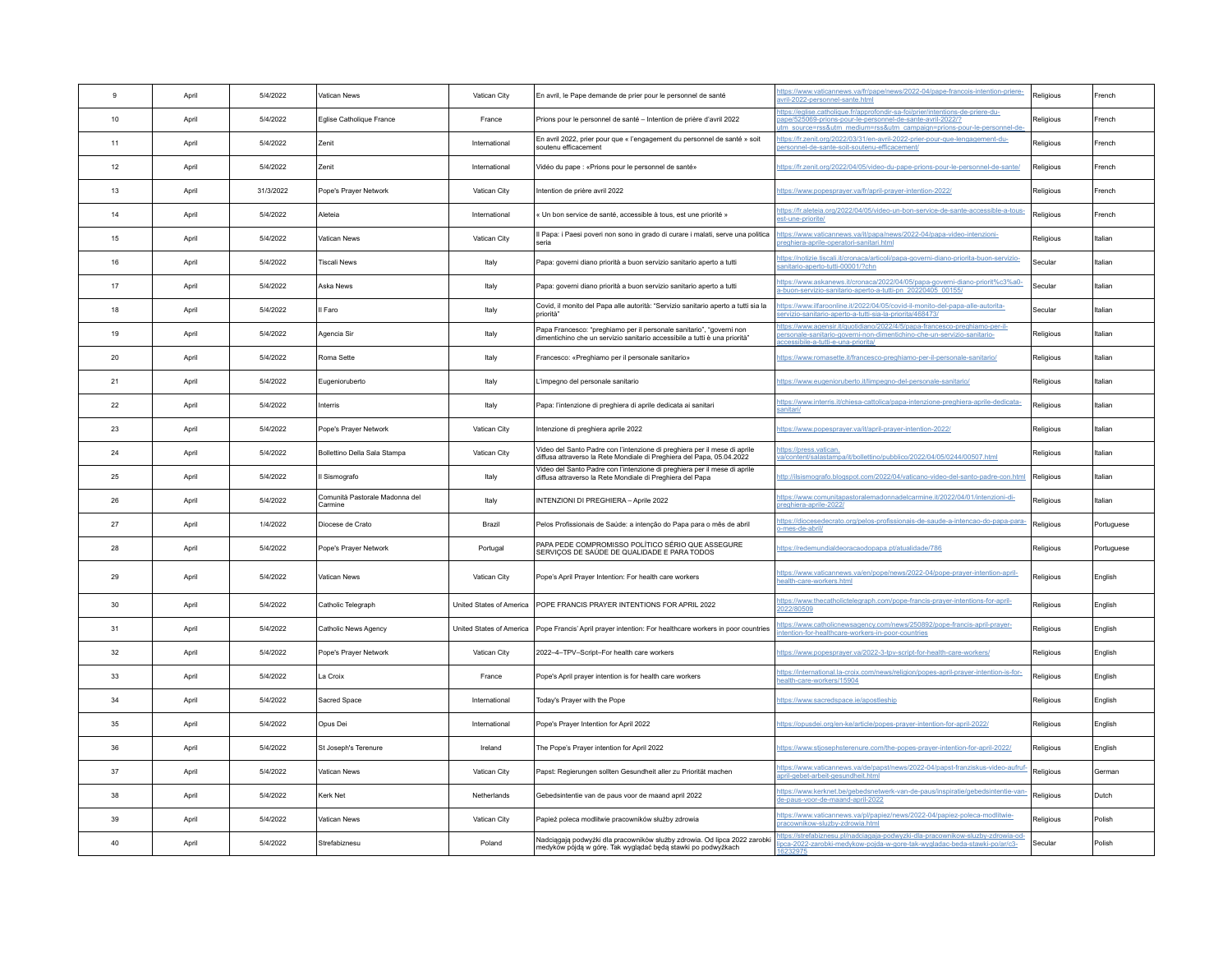| $\mathbf{g}$ | April | 5/4/2022  | Vatican News                              | Vatican City  | En avril, le Pape demande de prier pour le personnel de santé                                                                                      | ttps://www.vaticannews.va/fr/pape/news/2022-04/pape-francois-intention-priere-<br>vril-2022-personnel-sante.html                                                                                 | Religious | French     |
|--------------|-------|-----------|-------------------------------------------|---------------|----------------------------------------------------------------------------------------------------------------------------------------------------|--------------------------------------------------------------------------------------------------------------------------------------------------------------------------------------------------|-----------|------------|
| 10           | April | 5/4/2022  | Eglise Catholique France                  | France        | Prions pour le personnel de santé - Intention de prière d'avril 2022                                                                               | tps://eglise.catholique.fr/approfondir-sa-foi/prier/intentions-de-priere-du-<br>ape/525069-prions-pour-le-personnel-de-sante-avril-2022/?<br>m source=rss&utm medium=rss&utm campaign=prions-pou | Religious | French     |
| 11           | April | 5/4/2022  | Zenit                                     | International | En avril 2022, prier pour que « l'engagement du personnel de santé » soit<br>soutenu efficacement                                                  | https://fr.zenit.org/2022/03/31/en-avril-2022-prier-pour-que-lengagement-du-<br>ersonnel-de-sante-soit-soutenu-efficacement/                                                                     | Religious | French     |
| 12           | April | 5/4/2022  | Zenit                                     | International | Vidéo du pape : «Prions pour le personnel de santé»                                                                                                | https://fr.zenit.org/2022/04/05/video-du-pape-prions-pour-le-personnel-de-sante/                                                                                                                 | Religious | French     |
| 13           | Anril | 31/3/2022 | Pope's Prayer Network                     | Vatican City  | Intention de prière avril 2022                                                                                                                     | https://www.popesprayer.va/fr/april-prayer-intention-2022/                                                                                                                                       | Religious | French     |
| 14           | April | 5/4/2022  | Aleteia                                   | International | « Un bon service de santé, accessible à tous, est une priorité »                                                                                   | ttps://fr.aleteia.org/2022/04/05/video-un-bon-service-de-sante-accessible-a-tous-<br>est-une-priorite.                                                                                           | Religious | French     |
| 15           | April | 5/4/2022  | Vatican News                              | Vatican City  | Il Papa: i Paesi poveri non sono in grado di curare i malati, serve una politica<br>seria                                                          | https://www.vaticannews.va/it/papa/news/2022-04/papa-video-intenzioni-<br>reghiera-aprile-operatori-sanitari.html                                                                                | Religious | Italian    |
| 16           | April | 5/4/2022  | <b>Tiscali News</b>                       | Italy         | Papa: governi diano priorità a buon servizio sanitario aperto a tutti                                                                              | https://notizie.tiscali.it/cronaca/articoli/papa-governi-diano-priorita-buon-servizio-<br>anitario-aperto-tutti-00001/?chn                                                                       | Secular   | Italian    |
| 17           | April | 5/4/2022  | Aska News                                 | Italy         | Papa: governi diano priorità a buon servizio sanitario aperto a tutti                                                                              | tps://www.askanews.it/cronaca/2022/04/05/papa-governi-diano-priorit%c3%a0-<br>a-buon-servizio-sanitario-aperto-a-tutti-pn 20220405 00155/                                                        | Secular   | Italian    |
| 18           | April | 5/4/2022  | Il Faro                                   | Italy         | Covid, il monito del Papa alle autorità: "Servizio sanitario aperto a tutti sia la<br>priorità <sup>®</sup>                                        | https://www.ilfaroonline.it/2022/04/05/covid-il-monito-del-papa-alle-autorita-<br>ervizio-sanitario-aperto-a-tutti-sia-la-priorita/468473/                                                       | Secular   | Italian    |
| 19           | April | 5/4/2022  | Agencia Sir                               | Italy         | Papa Francesco: "preghiamo per il personale sanitario", "governi non<br>dimentichino che un servizio sanitario accessibile a tutti è una priorità" | tps://www.agensir.it/quotidiano/2022/4/5/papa-francesco-preghiamo-per-il-<br>ersonale-sanitario-governi-non-dimentichino-che-un-servizio-sanitario-<br>cessibile-a-tutti-e-una-priorita          | Religious | Italian    |
| 20           | April | 5/4/2022  | Roma Sette                                | Italy         | Francesco: «Preghiamo per il personale sanitario»                                                                                                  | ttps://www.romasette.it/francesco-preghiamo-per-il-personale-sanitario/                                                                                                                          | Religious | Italian    |
| 21           | April | 5/4/2022  | Eugenioruberto                            | Italy         | L'impegno del personale sanitario                                                                                                                  | ttps://www.eugenioruberto.it/limpegno-del-personale-sanitario/                                                                                                                                   | Religious | Italian    |
| 22           | April | 5/4/2022  | Interris                                  | Italy         | Papa: l'intenzione di preghiera di aprile dedicata ai sanitari                                                                                     | ttps://www.interris.it/chiesa-cattolica/papa-intenzione-preghiera-aprile-dedicata-<br>anitari/                                                                                                   | Religious | Italian    |
| 23           | April | 5/4/2022  | Pope's Prayer Network                     | Vatican City  | Intenzione di preghiera aprile 2022                                                                                                                | https://www.popesprayer.va/it/april-prayer-intention-2022/                                                                                                                                       | Religious | Italian    |
| 24           | April | 5/4/2022  | Bollettino Della Sala Stampa              | Vatican City  | Video del Santo Padre con l'intenzione di preghiera per il mese di aprile<br>diffusa attraverso la Rete Mondiale di Preghiera del Papa, 05.04.2022 | ttps://press.vatican<br>ra/content/salastampa/it/bollettino/pubblico/2022/04/05/0244/00507.html                                                                                                  | Religious | Italian    |
| 25           | April | 5/4/2022  | Il Sismografo                             | Italy         | Video del Santo Padre con l'intenzione di preghiera per il mese di aprile<br>diffusa attraverso la Rete Mondiale di Preghiera del Papa             | http://ilsismografo.blogspot.com/2022/04/vaticano-video-del-santo-padre-con.html                                                                                                                 | Religious | Italian    |
| 26           | Anril | 5/4/2022  | Comunità Pastorale Madonna del<br>Carmine | Italy         | INTENZIONI DI PREGHIERA - Aprile 2022                                                                                                              | ttps://www.comunitapastoralemadonnadelcarmine.it/2022/04/01/intenzioni-di-<br>preghiera-aprile-2022/                                                                                             | Religious | Italian    |
| 27           | April | 1/4/2022  | Diocese de Crato                          | Brazil        | Pelos Profissionais de Saúde: a intenção do Papa para o mês de abril                                                                               | ttps://diocesedecrato.org/pelos-profissionais-de-saude-a-intencao-do-papa-para-<br>o-mes-de-abril                                                                                                | Religious | Portuguese |
| 28           | April | 5/4/2022  | Pope's Prayer Network                     | Portugal      | PAPA PEDE COMPROMISSO POLÍTICO SÉRIO QUE ASSEGURE<br>SERVIÇOS DE SAÚDE DE QUALIDADE E PARA TODOS                                                   | https://redemundialdeoracaodopapa.pt/atualidade/786                                                                                                                                              | Religious | Portuguese |
| 29           | April | 5/4/2022  | Vatican News                              | Vatican City  | Pope's April Prayer Intention: For health care workers                                                                                             | ttps://www.vaticannews.va/en/pope/news/2022-04/pope-praver-intention-april-<br>ealth-care-workers.html                                                                                           | Religious | English    |
| $30^{\circ}$ | April | 5/4/2022  | Catholic Telegraph                        |               | United States of America   POPE FRANCIS PRAYER INTENTIONS FOR APRIL 2022                                                                           | ttps://www.thecatholictelegraph.com/pope-francis-prayer-intentions-for-april-<br>022/80509                                                                                                       | Religious | English    |
| 31           | April | 5/4/2022  | Catholic News Agency                      |               | United States of America   Pope Francis' April prayer intention: For healthcare workers in poor countries                                          | ttps://www.catholicnewsagency.com/news/250892/pope-francis-april-prayer-<br><u>ntention-for-healthcare-workers-in-poor-countries</u>                                                             | Religious | English    |
| 32           | April | 5/4/2022  | Pope's Prayer Network                     | Vatican City  | 2022-4-TPV-Script-For health care workers                                                                                                          | https://www.popesprayer.va/2022-3-tpv-script-for-health-care-workers/                                                                                                                            | Religious | English    |
| 33           | April | 5/4/2022  | La Croix                                  | France        | Pope's April prayer intention is for health care workers                                                                                           | https://international.la-croix.com/news/religion/popes-april-prayer-intention-is-for-<br>ealth-care-workers/15904                                                                                | Religious | English    |
| 34           | April | 5/4/2022  | Sacred Space                              | International | Today's Prayer with the Pope                                                                                                                       | https://www.sacredspace.ie/apostleship                                                                                                                                                           | Religious | English    |
| 35           | April | 5/4/2022  | Opus Dei                                  | International | Pope's Prayer Intention for April 2022                                                                                                             | https://opusdei.org/en-ke/article/popes-prayer-intention-for-april-2022/                                                                                                                         | Religious | English    |
| 36           | April | 5/4/2022  | St Joseph's Terenure                      | Ireland       | The Pope's Prayer intention for April 2022                                                                                                         | https://www.stjosephsterenure.com/the-popes-prayer-intention-for-april-2022/                                                                                                                     | Religious | English    |
| 37           | April | 5/4/2022  | Vatican News                              | Vatican City  | Papst: Regierungen sollten Gesundheit aller zu Priorität machen                                                                                    | https://www.vaticannews.va/de/papst/news/2022-04/papst-franziskus-video-aufruf-<br>april-gebet-arbeit-gesundheit.html                                                                            | Religious | German     |
| 38           | April | 5/4/2022  | Kerk Net                                  | Netherlands   | Gebedsintentie van de paus voor de maand april 2022                                                                                                | ttps://www.kerknet.be/gebedsnetwerk-van-de-paus/inspiratie/gebedsintentie-van-<br>de-paus-voor-de-maand-april-2022                                                                               | Religious | Dutch      |
| 39           | April | 5/4/2022  | Vatican News                              | Vatican City  | Papież poleca modlitwie pracowników służby zdrowia                                                                                                 | ttps://www.vaticannews.va/pl/papiez/news/2022-04/papiez-poleca-modlitwie-<br>racownikow-sluzby-zdrowia.html                                                                                      | Religious | Polish     |
| 40           | April | 5/4/2022  | Strefabiznesu                             | Poland        | Nadciągają podwyżki dla pracowników służby zdrowia. Od lipca 2022 zarobki<br>medyków pójdą w górę. Tak wyglądać będą stawki po podwyżkach          | tps://strefabiznesu.pl/nadciagaja-podwyzki-dla-pracownikow-sluzby-zdrowia-od-<br>pca-2022-zarobki-medykow-pojda-w-gore-tak-wygladac-beda-stawki-po/ar/c3-                                        | Secular   | Polish     |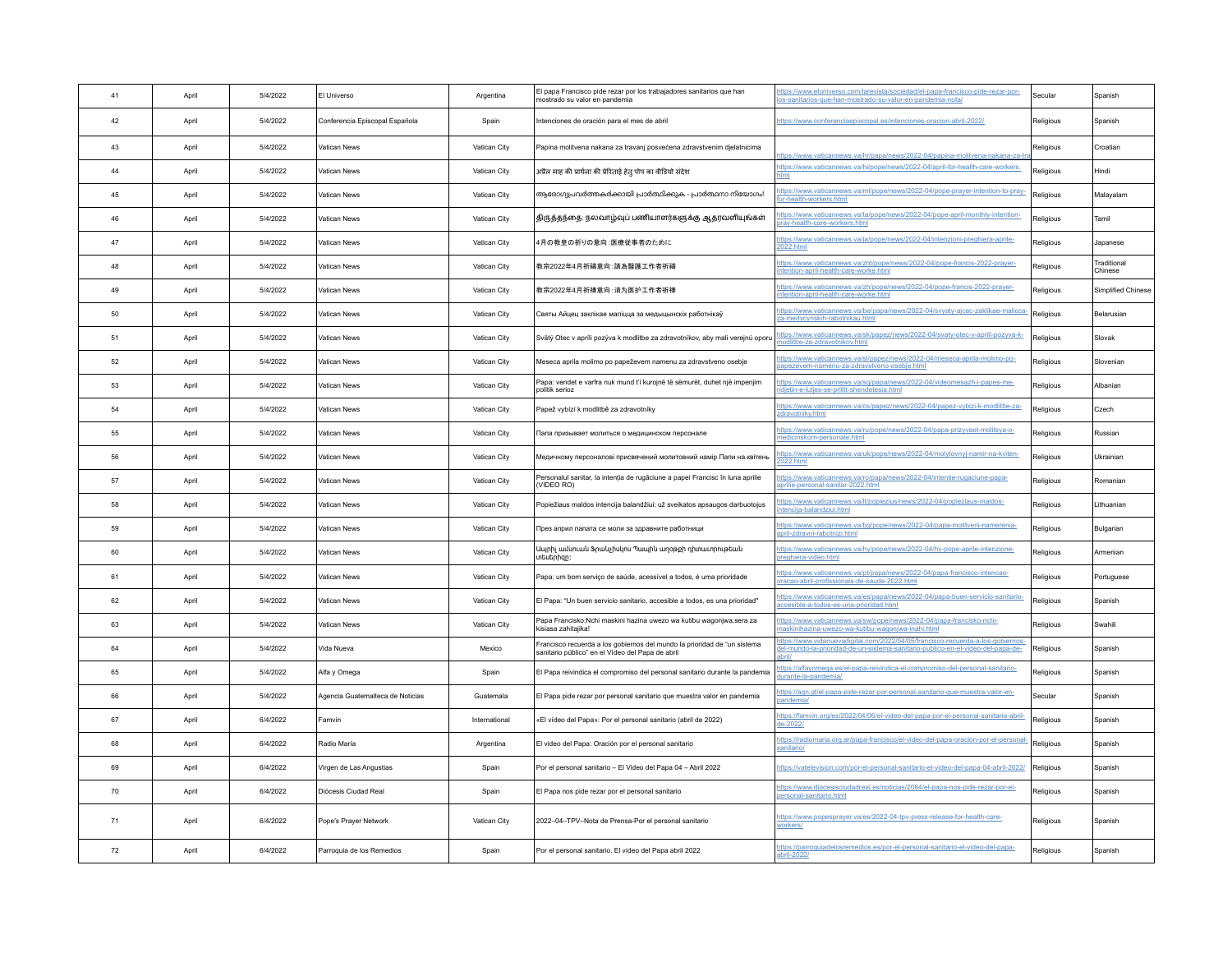| 41 | April | 5/4/2022 | El Universo                      | Argentina     | El papa Francisco pide rezar por los trabajadores sanitarios que han<br>mostrado su valor en pandemia                        | tps://www.eluniverso.com/larevista/sociedad/el-papa-francisco-pide-rezar-por-<br>os-sanitarios-que-han-mostrado-su-valor-en-pandemia-nota/                     | Secular   | Spanish                |
|----|-------|----------|----------------------------------|---------------|------------------------------------------------------------------------------------------------------------------------------|----------------------------------------------------------------------------------------------------------------------------------------------------------------|-----------|------------------------|
| 42 | April | 5/4/2022 | Conferencia Episcopal Española   | Spain         | Intenciones de oración para el mes de abril                                                                                  | lttps://www.conferenciaepiscopal.es/intenciones-oracion-abril-2022/                                                                                            | Religious | Spanish                |
| 43 | April | 5/4/2022 | Vatican News                     | Vatican City  | Papina molitvena nakana za travanj posvećena zdravstvenim djelatnicima                                                       | tps://www.vaticannews.va/hr/papa/news/2022-04/papina-molitvena-nakana-za-                                                                                      | Religious | Croatian               |
| 44 | Anril | 5/4/2022 | Vatican News                     | Vatican City  | अप्रैल माह की प्रार्थना की प्रेरिताई हेतु पोप का वीडियो संदेश                                                                | https://www.vaticannews.va/hi/pope/news/2022-04/april-for-health-care-workers.                                                                                 | Religious | Hindi                  |
| 45 | April | 5/4/2022 | Vatican News                     | Vatican City  | ആരോഗ്യപ്രവർത്തകർക്കായി പ്രാർത്ഥിക്കുക - പ്രാർത്ഥനാ നിയോഗം!                                                                   | ttps://www.vaticannews.va/ml/pope/news/2022-04/pope-prayer-intention-to-pray-<br>or-health-workers.html                                                        | Religious | Malayalam              |
| 46 | April | 5/4/2022 | Vatican News                     | Vatican City  | திருத்தந்தை: நலவாழ்வுப் பணியாளர்களுக்கு ஆதரவளியுங்கள்                                                                        | ttps://www.vaticannews.va/ta/pope/news/2022-04/pope-april-monthly-intention-<br>prav-health-care-workers.html                                                  | Religious | Tamil                  |
| 47 | April | 5/4/2022 | Vatican News                     | Vatican City  | 4月の教皇の祈りの意向: 医療従事者のために                                                                                                       | ttps://www.vaticannews.va/ja/pope/news/2022-04/intenzioni-preghiera-aprile-<br>2022 html                                                                       | Religious | Japanese               |
| 48 | April | 5/4/2022 | Vatican News                     | Vatican City  | 教宗2022年4月祈禱意向:請為醫護工作者祈禱                                                                                                      | ttps://www.vaticannews.va/zht/pope/news/2022-04/pope-francis-2022-prayer-<br>ntention-april-health-care-worke.html                                             | Religious | Traditional<br>Chinese |
| 49 | April | 5/4/2022 | Vatican News                     | Vatican City  | 教宗2022年4月祈祷意向:请为医护工作者祈祷                                                                                                      | ttps://www.vaticannews.va/zh/pope/news/2022-04/pope-francis-2022-prayer-<br>ntention-april-health-care-worke.html                                              | Religious | Simplified Chinese     |
| 50 | April | 5/4/2022 | Vatican News                     | Vatican City  | Святы Айцец заклікае маліцца за медыцынскіх работнікаў                                                                       | dtps://www.vaticannews.va/be/papa/news/2022-04/svyaty-ajcec-zaklikae-malicca<br>za-medycynskih-rabotnikau.html                                                 | Religious | Belarusian             |
| 51 | April | 5/4/2022 | Vatican News                     | Vatican City  | Svätý Otec v apríli pozýva k modlitbe za zdravotníkov, aby mali verejnú oporu                                                | ttps://www.vaticannews.va/sk/papez/news/2022-04/svaty-otec-v-aprili-pozyva-k-<br>odlitbe-za-zdravotnikov.html                                                  | Religious | Slovak                 |
| 52 | April | 5/4/2022 | Vatican News                     | Vatican City  | Meseca aprila molimo po papeževem namenu za zdravstveno osebje                                                               | tps://www.vaticannews.va/sl/papez/news/2022-04/meseca-aprila-molimo-po-<br>papezevem-namenu-za-zdravstveno-osebje.html                                         | Religious | Slovenian              |
| 53 | April | 5/4/2022 | Vatican News                     | Vatican City  | Papa: vendet e varfra nuk mund t'i kurojnë të sëmurët, duhet një impenjim<br>politik serioz                                  | ttps://www.vaticannews.va/sq/papa/news/2022-04/videomesazh-i-papes-me-<br>dietin-e-lutjes-se-prillit-shendetesia.html                                          | Religious | Albanian               |
| 54 | April | 5/4/2022 | Vatican News                     | Vatican City  | Papež vybízí k modlitbě za zdravotníky                                                                                       | ttps://www.vaticannews.va/cs/papez/news/2022-04/papez-vybizi-k-modlitbe-za-<br>dravotnikv.html                                                                 | Religious | Czech                  |
| 55 | April | 5/4/2022 | Vatican News                     | Vatican City  | Папа призывает молиться о медицинском персонале                                                                              | lttps://www.vaticannews.va/ru/pope/news/2022-04/papa-prizyvaet-molitsya-o-<br>iedicinskom-nersonale html                                                       | Religious | Russian                |
| 56 | April | 5/4/2022 | Vatican News                     | Vatican City  | Медичному персоналові присвячений молитовний намір Папи на квітень                                                           | ttps://www.yaticannews.ya/uk/pope/news/2022-04/molytovnyj-namir-na-kyiten-<br>!022.html                                                                        | Religious | Ukrainian              |
| 57 | April | 5/4/2022 | Vatican News                     | Vatican City  | Personalul sanitar, la intenția de rugăciune a papei Francisc în luna aprilie<br>(VIDEO RO)                                  | ttps://www.vaticannews.va/ro/papa/news/2022-04/intentie-rugaciune-papa-<br>prilie-personal-sanitar-2022.html                                                   | Religious | Romanian               |
| 58 | April | 5/4/2022 | Vatican News                     | Vatican City  | Popiežiaus maldos intencija balandžiui: už sveikatos apsaugos darbuotojus                                                    | ttps://www.vaticannews.va/lt/popiezius/news/2022-04/popieziaus-maldos-<br>tencija-balandziui.html                                                              | Religious | _ithuanian             |
| 59 | April | 5/4/2022 | Vatican News                     | Vatican City  | През април папата се моли за здравните работници                                                                             | ttps://www.vaticannews.va/bg/pope/news/2022-04/papa-molitveni-namerenia-<br>ipril-zdravni-rabotnizi.html                                                       | Religious | Bulgarian              |
| 60 | April | 5/4/2022 | Vatican News                     | Vatican City  | Ապրիլ ամսուան Ֆրանչիսկոս Պապին աղօթքի դիտաւորութեան<br>տեսերիզը։                                                             | ttps://www.vaticannews.va/hy/pope/news/2022-04/hy-pope-aprile-intenzione-<br>preghiera-video.html                                                              | Religious | Armenian               |
| 61 | April | 5/4/2022 | Vatican News                     | Vatican City  | Papa: um bom serviço de saúde, acessível a todos, é uma prioridade                                                           | ttps://www.vaticannews.va/pt/papa/news/2022-04/papa-francisco-intencao-<br>pracao-abril-profissionais-de-saude-2022.html                                       | Religious | Portuguese             |
| 62 | April | 5/4/2022 | Vatican News                     | Vatican City  | El Papa: "Un buen servicio sanitario, accesible a todos, es una prioridad"                                                   | ittps://www.vaticannews.va/es/papa/news/2022-04/papa-buen-servicio-sanitario-<br>iccesible-a-todos-es-una-prioridad.html                                       | Religious | Spanish                |
| 63 | April | 5/4/2022 | Vatican News                     | Vatican City  | Papa Francisko:Nchi maskini hazina uwezo wa kutibu wagoniwa.sera za<br>kisiasa zahitajika!                                   | ttps://www.vaticannews.va/sw/pope/news/2022-04/papa-francisko-nchi-<br><u>naskinihazina-uwezo-wa-kutibu-waqoniwa-inahi.html</u>                                | Religious | Swahili                |
| 64 | April | 5/4/2022 | Vida Nueva                       | Mexico        | Francisco recuerda a los gobiernos del mundo la prioridad de "un sistema<br>sanitario público" en el Vídeo del Papa de abril | tps://www.vidanuevadigital.com/2022/04/05/francisco-recuerda-a-los-gobiernos<br>el-mundo-la-prioridad-de-un-sistema-sanitario-publico-en-el-video-del-papa-de- | Religious | Spanish                |
| 65 | April | 5/4/2022 | Alfa y Omega                     | Spain         | El Papa reivindica el compromiso del personal sanitario durante la pandemia                                                  | ttps://alfayomega.es/el-papa-reivindica-el-compromiso-del-personal-sanitario-<br>lurante-la-pandemia                                                           | Religious | Spanish                |
| 66 | April | 5/4/2022 | Agencia Guatemalteca de Noticias | Guatemala     | El Papa pide rezar por personal sanitario que muestra valor en pandemia                                                      | ttps://agn.gt/el-papa-pide-rezar-por-personal-sanitario-que-muestra-valor-en-<br>andemia                                                                       | Secular   | Spanish                |
| 67 | April | 6/4/2022 | Famvin                           | International | «El vídeo del Papa»: Por el personal sanitario (abril de 2022)                                                               | ttps://famvin.org/es/2022/04/06/el-video-del-papa-por-el-personal-sanitario-abril-<br>le-2022/                                                                 | Religious | Spanish                |
| 68 | April | 6/4/2022 | Radio María                      | Argentina     | El video del Papa: Oración por el personal sanitario                                                                         | ttps://radiomaria.org.ar/papa-francisco/el-video-del-papa-oracion-por-el-persona<br>anitario                                                                   | Religious | Spanish                |
| 69 | April | 6/4/2022 | Virgen de Las Angustias          | Spain         | Por el personal sanitario - El Video del Papa 04 - Abril 2022                                                                | <u> ttps://vatelevision.com/por-el-personal-sanitario-el-video-del-papa-04-abril-2022</u>                                                                      | Religious | Spanish                |
| 70 | April | 6/4/2022 | Diócesis Ciudad Real             | Spain         | El Papa nos pide rezar por el personal sanitario                                                                             | lttps://www.diocesisciudadreal.es/noticias/2064/el-papa-nos-pide-rezar-por-el-<br>personal-sanitario.html                                                      | Religious | Spanish                |
| 71 | April | 6/4/2022 | Pope's Prayer Network            | Vatican City  | 2022-04-TPV-Nota de Prensa-Por el personal sanitario                                                                         | https://www.popesprayer.va/es/2022-04-tpv-press-release-for-health-care-<br>vorkers/                                                                           | Religious | Spanish                |
| 72 | April | 6/4/2022 | Parroquia de los Remedios        | Spain         | Por el personal sanitario. El vídeo del Papa abril 2022                                                                      | ttps://parroquiadelosremedios.es/por-el-personal-sanitario-el-video-del-papa-<br>abril-2022/                                                                   | Religious | Spanish                |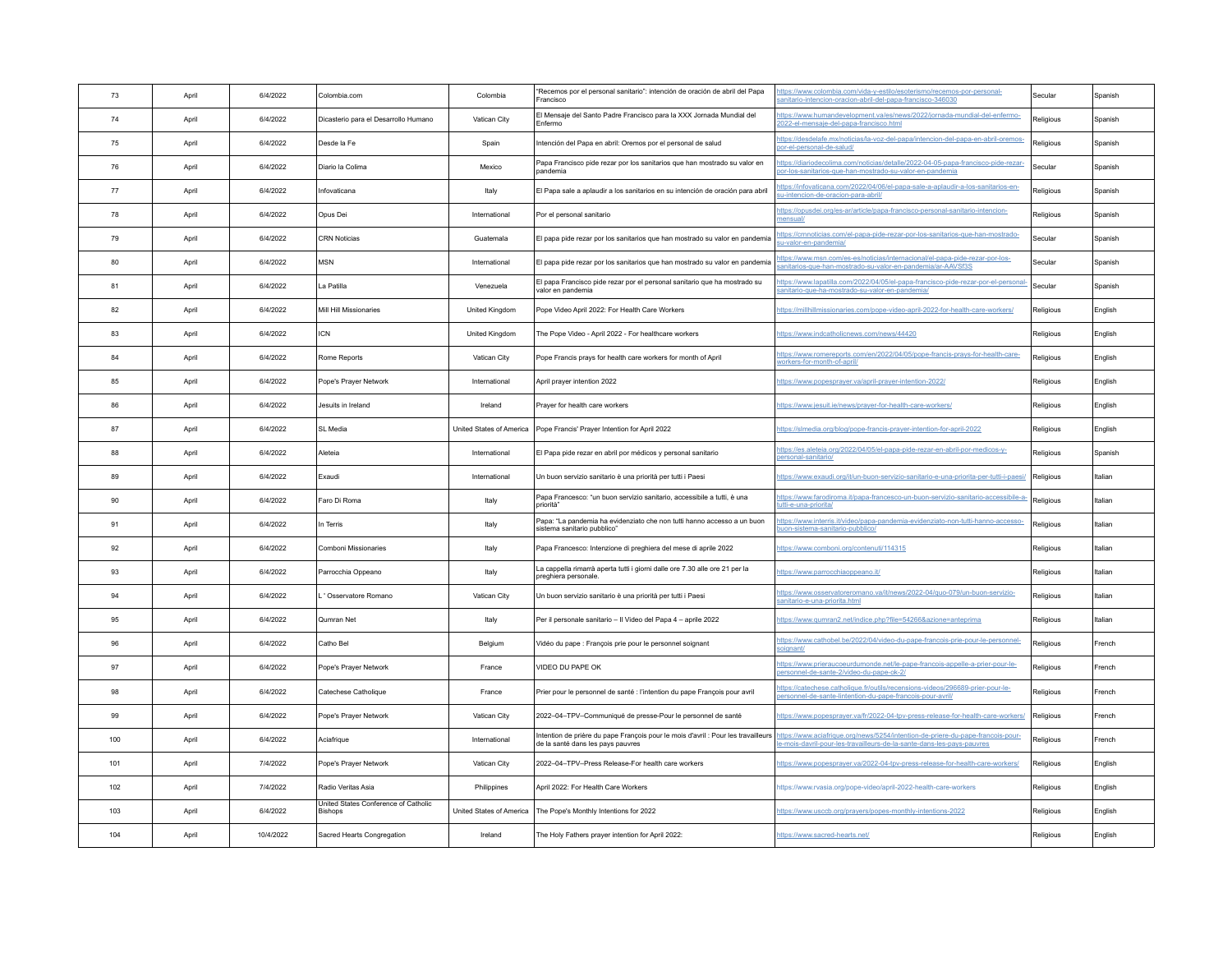| 73  | April | 6/4/2022  | Colombia.com                                           | Colombia       | "Recemos por el personal sanitario": intención de oración de abril del Papa<br>Francisco                               | https://www.colombia.com/vida-y-estilo/esoterismo/recemos-por-personal-<br>anitario-intencion-oracion-abril-del-papa-francisco-346030                    | Secular   | Spanish |
|-----|-------|-----------|--------------------------------------------------------|----------------|------------------------------------------------------------------------------------------------------------------------|----------------------------------------------------------------------------------------------------------------------------------------------------------|-----------|---------|
| 74  | April | 6/4/2022  | Dicasterio para el Desarrollo Humano                   | Vatican City   | El Mensaje del Santo Padre Francisco para la XXX Jornada Mundial del<br>Enfermo                                        | https://www.humandevelopment.va/es/news/2022/jornada-mundial-del-enfermo-<br>2022-el-mensaje-del-papa-francisco.html                                     | Religious | Spanish |
| 75  | Anril | 6/4/2022  | Desde la Fe                                            | Spain          | Intención del Papa en abril: Oremos por el personal de salud                                                           | https://desdelafe.mx/noticias/la-voz-del-papa/intencion-del-papa-en-abril-oremos-<br>oor-el-personal-de-salud/                                           | Religious | Spanish |
| 76  | April | 6/4/2022  | Diario la Colima                                       | Mexico         | Papa Francisco pide rezar por los sanitarios que han mostrado su valor en<br>Inandemia                                 | https://diariodecolima.com/noticias/detalle/2022-04-05-papa-francisco-pide-rezar-<br>or-los-sanitarios-que-han-mostrado-su-valor-en-pandemia             | Secular   | Spanish |
| 77  | April | 6/4/2022  | Infovaticana                                           | Italy          | El Papa sale a aplaudir a los sanitarios en su intención de oración para abril                                         | https://infovaticana.com/2022/04/06/el-papa-sale-a-aplaudir-a-los-sanitarios-en-<br>su-intencion-de-oracion-para-abril/                                  | Religious | Spanish |
| 78  | April | 6/4/2022  | Opus Dei                                               | International  | Por el personal sanitario                                                                                              | https://opusdei.org/es-ar/article/papa-francisco-personal-sanitario-intencion-<br>nensual/                                                               | Religious | Spanish |
| 79  | April | 6/4/2022  | <b>CRN Noticias</b>                                    | Guatemala      | El papa pide rezar por los sanitarios que han mostrado su valor en pandemia                                            | https://cmnoticias.com/el-papa-pide-rezar-por-los-sanitarios-que-han-mostrado-<br>su-valor-en-pandemia                                                   | Secular   | Spanish |
| 80  | April | 6/4/2022  | <b>MSN</b>                                             | International  | El papa pide rezar por los sanitarios que han mostrado su valor en pandemia                                            | https://www.msn.com/es-es/noticias/internacional/el-papa-pide-rezar-por-los-<br>sanitarios-que-han-mostrado-su-valor-en-pandemia/ar-AAVSf3S              | Secular   | Spanish |
| 81  | April | 6/4/2022  | La Patilla                                             | Venezuela      | El papa Francisco pide rezar por el personal sanitario que ha mostrado su<br>valor en pandemia                         | https://www.lapatilla.com/2022/04/05/el-papa-francisco-pide-rezar-por-el-personal<br>sanitario-que-ha-mostrado-su-valor-en-pandemia/                     | Secular   | Spanish |
| 82  | April | 6/4/2022  | Mill Hill Missionaries                                 | United Kingdom | Pope Video April 2022: For Health Care Workers                                                                         | https://millhillmissionaries.com/pope-video-april-2022-for-health-care-workers/                                                                          | Religious | English |
| 83  | April | 6/4/2022  | <b>ICN</b>                                             | United Kingdom | The Pope Video - April 2022 - For healthcare workers                                                                   | https://www.indcatholicnews.com/news/44420                                                                                                               | Religious | English |
| 84  | April | 6/4/2022  | Rome Reports                                           | Vatican City   | Pope Francis prays for health care workers for month of April                                                          | https://www.romereports.com/en/2022/04/05/pope-francis-prays-for-health-care-<br>workers-for-month-of-april/                                             | Religious | English |
| 85  | April | 6/4/2022  | Pope's Prayer Network                                  | International  | April prayer intention 2022                                                                                            | https://www.popesprayer.va/april-prayer-intention-2022/                                                                                                  | Religious | English |
| 86  | April | 6/4/2022  | Jesuits in Ireland                                     | Ireland        | Prayer for health care workers                                                                                         | https://www.jesuit.ie/news/prayer-for-health-care-workers/                                                                                               | Religious | English |
| 87  | April | 6/4/2022  | SL Media                                               |                | United States of America   Pope Francis' Prayer Intention for April 2022                                               | ttps://slmedia.org/blog/pope-francis-prayer-intention-for-april-2022                                                                                     | Religious | English |
| 88  | April | 6/4/2022  | Aleteia                                                | International  | El Papa pide rezar en abril por médicos y personal sanitario                                                           | https://es.aleteia.org/2022/04/05/el-papa-pide-rezar-en-abril-por-medicos-v-<br>bersonal-sanitario/                                                      | Religious | Spanish |
| 89  | April | 6/4/2022  | Exaudi                                                 | International  | Un buon servizio sanitario è una priorità per tutti i Paesi                                                            | https://www.exaudi.org/it/un-buon-servizio-sanitario-e-una-priorita-per-tutti-i-paesi                                                                    | Religious | Italian |
| 90  | April | 6/4/2022  | Faro Di Roma                                           | Italy          | Papa Francesco: "un buon servizio sanitario, accessibile a tutti, è una<br>priorità"                                   | https://www.farodiroma.it/papa-francesco-un-buon-servizio-sanitario-accessibile-a-<br>utti-e-una-priorita/                                               | Religious | Italian |
| 91  | April | 6/4/2022  | In Terris                                              | Italy          | Papa: "La pandemia ha evidenziato che non tutti hanno accesso a un buon<br>sistema sanitario pubblico"                 | https://www.interris.it/video/papa-pandemia-evidenziato-non-tutti-hanno-accesso-<br>ouon-sistema-sanitario-pubblico                                      | Religious | Italian |
| 92  | April | 6/4/2022  | Comboni Missionaries                                   | Italy          | Papa Francesco: Intenzione di preghiera del mese di aprile 2022                                                        | ttps://www.comboni.org/contenuti/114315                                                                                                                  | Religious | Italian |
| 93  | April | 6/4/2022  | Parrocchia Oppeano                                     | Italy          | La cappella rimarrà aperta tutti i giorni dalle ore 7.30 alle ore 21 per la<br>preghiera personale.                    | https://www.parrocchiaoppeano.it/                                                                                                                        | Religious | Italian |
| 94  | April | 6/4/2022  | I 'Osservatore Romano                                  | Vatican City   | Un buon servizio sanitario è una priorità per tutti i Paesi                                                            | https://www.osservatoreromano.va/it/news/2022-04/quo-079/un-buon-servizio-<br>sanitario-e-una-priorita.html                                              | Religious | Italian |
| 95  | April | 6/4/2022  | Qumran Net                                             | Italy          | Per il personale sanitario - Il Video del Papa 4 - aprile 2022                                                         | https://www.qumran2.net/indice.php?file=54266&azione=anteprima                                                                                           | Religious | Italian |
| 96  | April | 6/4/2022  | Catho Bel                                              | Belgium        | Vidéo du pape : François prie pour le personnel soignant                                                               | https://www.cathobel.be/2022/04/video-du-pape-francois-prie-pour-le-personnel-<br>soignant/                                                              | Religious | French  |
| 97  | April | 6/4/2022  | Pope's Prayer Network                                  | France         | VIDEO DU PAPE OK                                                                                                       | https://www.prieraucoeurdumonde.net/le-pape-francois-appelle-a-prier-pour-le-<br>ersonnel-de-sante-2/video-du-pape-ok-2/                                 | Religious | French  |
| QR  | April | 6/4/2022  | Catechese Catholique                                   | France         | Prier pour le personnel de santé : l'intention du pape François pour avril                                             | https://catechese.catholique.fr/outils/recensions-videos/296689-prier-pour-le-<br>bersonnel-de-sante-lintention-du-pape-francois-pour-avril/             | Religious | French  |
| 99  | April | 6/4/2022  | Pope's Praver Network                                  | Vatican City   | 2022-04-TPV-Communiqué de presse-Pour le personnel de santé                                                            | https://www.popesprayer.va/fr/2022-04-tpv-press-release-for-health-care-workers/                                                                         | Religious | French  |
| 100 | April | 6/4/2022  | Aciafrique                                             | International  | Intention de prière du pape François pour le mois d'avril : Pour les travailleurs<br>de la santé dans les pays pauvres | https://www.aciafrique.org/news/5254/intention-de-priere-du-pape-francois-pour-<br>e-mois-davril-pour-les-travailleurs-de-la-sante-dans-les-pays-pauvres | Religious | French  |
| 101 | April | 7/4/2022  | Pope's Prayer Network                                  | Vatican City   | 2022-04-TPV-Press Release-For health care workers                                                                      | https://www.popesprayer.va/2022-04-tpv-press-release-for-health-care-workers/                                                                            | Religious | English |
| 102 | April | 7/4/2022  | Radio Veritas Asia                                     | Philippines    | April 2022: For Health Care Workers                                                                                    | https://www.rvasia.org/pope-video/april-2022-health-care-workers                                                                                         | Religious | English |
| 103 | April | 6/4/2022  | United States Conference of Catholic<br><b>Bishops</b> |                | United States of America   The Pope's Monthly Intentions for 2022                                                      | https://www.usccb.org/prayers/popes-monthly-intentions-2022                                                                                              | Religious | English |
| 104 | April | 10/4/2022 | Sacred Hearts Congregation                             | Ireland        | The Holy Fathers prayer intention for April 2022:                                                                      | https://www.sacred-hearts.net/                                                                                                                           | Religious | English |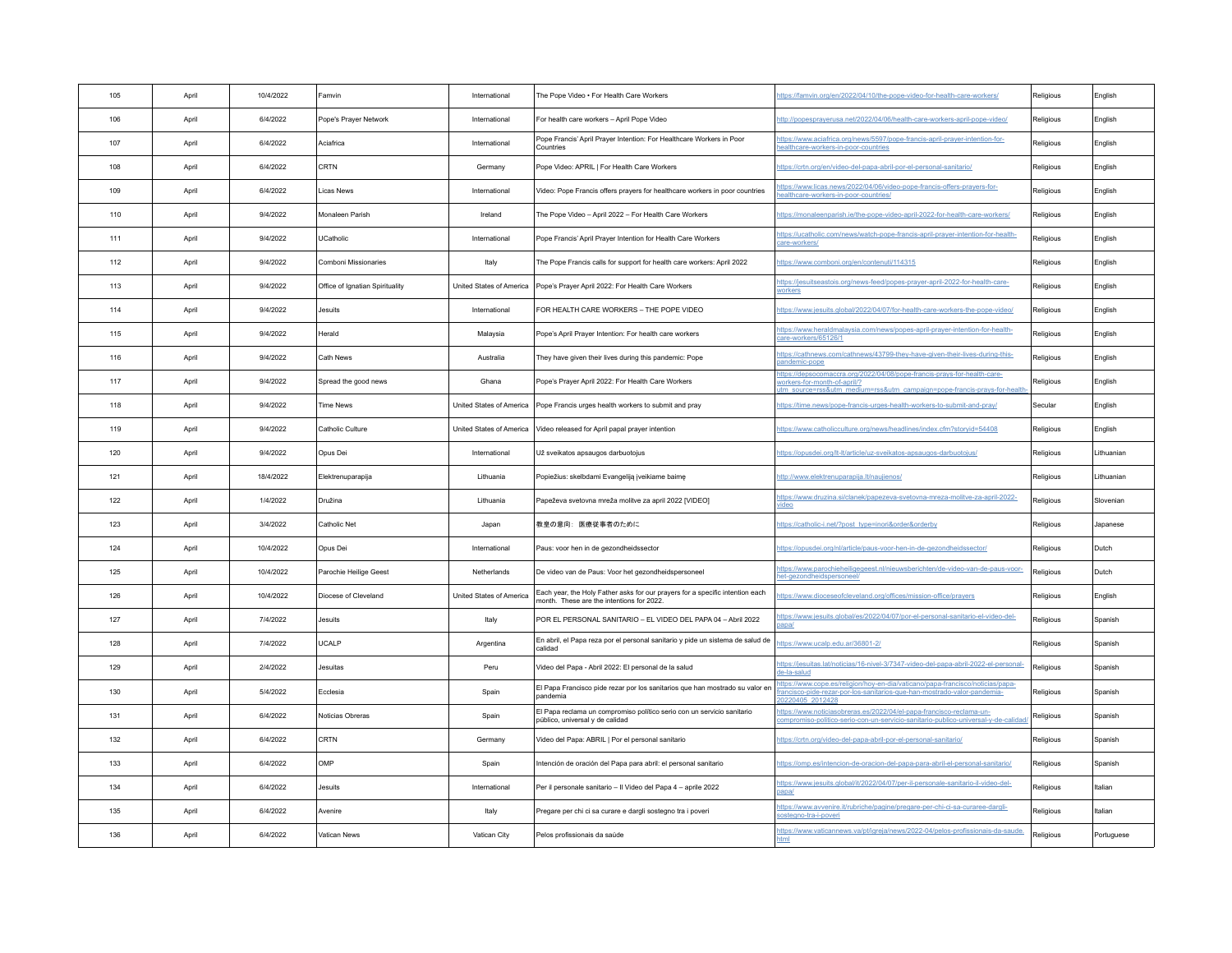| 105 | April | 10/4/2022 | Famvin                          | International            | The Pope Video . For Health Care Workers                                                                                   | ttps://famvin.org/en/2022/04/10/the-pope-video-for-health-care-workers/                                                                                                          | Religious | English    |
|-----|-------|-----------|---------------------------------|--------------------------|----------------------------------------------------------------------------------------------------------------------------|----------------------------------------------------------------------------------------------------------------------------------------------------------------------------------|-----------|------------|
| 106 | April | 6/4/2022  | Pope's Prayer Network           | International            | For health care workers - April Pope Video                                                                                 | ttp://popesprayerusa.net/2022/04/06/health-care-workers-april-pope-video/                                                                                                        | Religious | English    |
| 107 | Anril | 6/4/2022  | Aciafrica                       | International            | Pope Francis' April Prayer Intention: For Healthcare Workers in Poor<br>Countries                                          | ttps://www.aciafrica.org/news/5597/pope-francis-april-prayer-intention-for-<br>ealthcare-workers-in-poor-countries                                                               | Religious | English    |
| 108 | April | 6/4/2022  | CRTN                            | Germany                  | Pope Video: APRIL   For Health Care Workers                                                                                | https://crtn.org/en/video-del-papa-abril-por-el-personal-sanitario/                                                                                                              | Religious | English    |
| 109 | April | 6/4/2022  | <b>Licas News</b>               | International            | Video: Pope Francis offers prayers for healthcare workers in poor countries                                                | ttps://www.licas.news/2022/04/06/video-pope-francis-offers-prayers-for-<br>ealthcare-workers-in-poor-countries/                                                                  | Religious | English    |
| 110 | April | 9/4/2022  | Monaleen Parish                 | Ireland                  | The Pope Video - April 2022 - For Health Care Workers                                                                      | https://monaleenparish.ie/the-pope-video-april-2022-for-health-care-workers/                                                                                                     | Religious | English    |
| 111 | April | 9/4/2022  | UCatholic                       | International            | Pope Francis' April Prayer Intention for Health Care Workers                                                               | ttps://ucatholic.com/news/watch-pope-francis-april-prayer-intention-for-health-<br>are-workers/                                                                                  | Religious | English    |
| 112 | April | 9/4/2022  | Comboni Missionaries            | Italy                    | The Pope Francis calls for support for health care workers: April 2022                                                     | ttps://www.comboni.org/en/contenuti/114315                                                                                                                                       | Religious | English    |
| 113 | April | 9/4/2022  | Office of Ignatian Spirituality |                          | United States of America   Pope's Prayer April 2022: For Health Care Workers                                               | ttps://jesuitseastois.org/news-feed/popes-prayer-april-2022-for-health-care-<br>workers                                                                                          | Religious | English    |
| 114 | April | 9/4/2022  | Jesuits                         | International            | FOR HEALTH CARE WORKERS - THE POPE VIDEO                                                                                   | https://www.jesuits.global/2022/04/07/for-health-care-workers-the-pope-video/                                                                                                    | Religious | English    |
| 115 | April | 9/4/2022  | Herald                          | Malaysia                 | Pope's April Prayer Intention: For health care workers                                                                     | https://www.heraldmalaysia.com/news/popes-april-prayer-intention-for-health-<br>care-workers/65126/1                                                                             | Religious | English    |
| 116 | April | 9/4/2022  | Cath News                       | Australia                | They have given their lives during this pandemic: Pope                                                                     | https://cathnews.com/cathnews/43799-they-have-given-their-lives-during-this-<br>pandemic-pope                                                                                    | Religious | English    |
| 117 | April | 9/4/2022  | Spread the good news            | Ghana                    | Pope's Prayer April 2022: For Health Care Workers                                                                          | ttps://depsocomaccra.org/2022/04/08/pope-francis-prays-for-health-care-<br>rorkers-for-month-of-april/<br>m source=rss&utm medium=rss&utm campaign=pope-francis-prays-for-health | Religious | English    |
| 118 | April | 9/4/2022  | <b>Time News</b>                |                          | United States of America   Pope Francis urges health workers to submit and pray                                            | https://time.news/pope-francis-urges-health-workers-to-submit-and-pray/                                                                                                          | Secular   | English    |
| 119 | April | 9/4/2022  | Catholic Culture                |                          | United States of America Video released for April papal prayer intention                                                   | ttps://www.catholicculture.org/news/headlines/index.cfm?storyid=54408                                                                                                            | Religious | English    |
| 120 | April | 9/4/2022  | Opus Dei                        | International            | Už sveikatos apsaugos darbuotojus                                                                                          | https://opusdei.org/lt-lt/article/uz-sveikatos-apsaugos-darbuotojus/                                                                                                             | Religious | Lithuanian |
| 121 | April | 18/4/2022 | Elektrenuparapija               | Lithuania                | Popiežius: skelbdami Evangeliją įveikiame baimę                                                                            | http://www.elektrenuparapija.lt/naujienos/                                                                                                                                       | Religious | Lithuaniar |
| 122 | April | 1/4/2022  | Družina                         | Lithuania                | Papeževa svetovna mreža molitve za april 2022 IVIDEOI                                                                      | https://www.druzina.si/clanek/papezeva-svetovna-mreza-molitve-za-april-2022-<br>ideo                                                                                             | Religious | Slovenian  |
| 123 | April | 3/4/2022  | Catholic Net                    | Japan                    | 教皇の意向: 医療従事者のために                                                                                                           | https://catholic-i.net/?post_type=inoriℴ&orderby                                                                                                                                 | Religious | Japanese   |
| 124 | April | 10/4/2022 | Opus Dei                        | International            | Paus: voor hen in de gezondheidssector                                                                                     | ttps://opusdei.org/nl/article/paus-voor-hen-in-de-gezondheidssector/                                                                                                             | Religious | Dutch      |
| 125 | April | 10/4/2022 | Parochie Heilige Geest          | Netherlands              | De video van de Paus: Voor het gezondheidspersoneel                                                                        | https://www.parochieheiligegeest.nl/nieuwsberichten/de-video-van-de-paus-voor-<br>et-gezondheidspersoneel/                                                                       | Religious | Dutch      |
| 126 | April | 10/4/2022 | Diocese of Cleveland            | United States of America | Each year, the Holy Father asks for our prayers for a specific intention each<br>month. These are the intentions for 2022. | https://www.dioceseofcleveland.org/offices/mission-office/prayers                                                                                                                | Religious | English    |
| 127 | April | 7/4/2022  | Jesuits                         | Italy                    | POR EL PERSONAL SANITARIO - EL VIDEO DEL PAPA 04 - Abril 2022                                                              | https://www.jesuits.global/es/2022/04/07/por-el-personal-sanitario-el-video-del-<br>anal                                                                                         | Religious | Spanish    |
| 128 | April | 7/4/2022  | UCALP                           | Argentina                | En abril, el Papa reza por el personal sanitario y pide un sistema de salud de<br>calidad                                  | ttps://www.ucalp.edu.ar/36801-2/                                                                                                                                                 | Religious | Spanish    |
| 129 | April | 2/4/2022  | Jesuitas                        | Peru                     | Video del Papa - Abril 2022: El personal de la salud                                                                       | ttps://jesuitas.lat/noticias/16-nivel-3/7347-video-del-papa-abril-2022-el-personal-<br>le-la-salud                                                                               | Religious | Spanish    |
| 130 | April | 5/4/2022  | Ecclesia                        | Spain                    | El Papa Francisco pide rezar por los sanitarios que han mostrado su valor en<br>Ipandemia                                  | tps://www.cope.es/religion/hoy-en-dia/vaticano/papa-francisco/noticias/papa-<br>ancisco-pide-rezar-por-los-sanitarios-que-han-mostrado-valor-pandemia-<br>220405 201242          | Religious | Spanish    |
| 131 | April | 6/4/2022  | Noticias Obreras                | Spain                    | El Papa reclama un compromiso político serio con un servicio sanitario<br>público, universal y de calidad                  | ttps://www.noticiasobreras.es/2022/04/el-papa-francisco-reclama-un-<br>ompromiso-politico-serio-con-un-servicio-sanitario-publico-universal-y-de-calidad                         | Religious | Spanish    |
| 132 | April | 6/4/2022  | CRTN                            | Germany                  | Video del Papa: ABRIL   Por el personal sanitario                                                                          | https://crtn.org/video-del-papa-abril-por-el-personal-sanitario/                                                                                                                 | Religious | Spanish    |
| 133 | April | 6/4/2022  | OMP                             | Spain                    | Intención de oración del Papa para abril: el personal sanitario                                                            | https://omp.es/intencion-de-oracion-del-papa-para-abril-el-personal-sanitario/                                                                                                   | Religious | Spanish    |
| 134 | April | 6/4/2022  | Jesuits                         | International            | Per il personale sanitario - Il Video del Papa 4 - aprile 2022                                                             | https://www.jesuits.global/it/2022/04/07/per-il-personale-sanitario-il-video-del-<br>apa/                                                                                        | Religious | Italian    |
| 135 | April | 6/4/2022  | Avenire                         | Italy                    | Pregare per chi ci sa curare e dargli sostegno tra i poveri                                                                | tps://www.avvenire.it/rubriche/pagine/pregare-per-chi-ci-sa-curaree-dargli-<br>ostegno-tra-i-poveri                                                                              | Religious | Italian    |
| 136 | April | 6/4/2022  | Vatican News                    | Vatican City             | Pelos profissionais da saúde                                                                                               | https://www.vaticannews.va/pt/igreja/news/2022-04/pelos-profissionais-da-saude.                                                                                                  | Religious | Portuguese |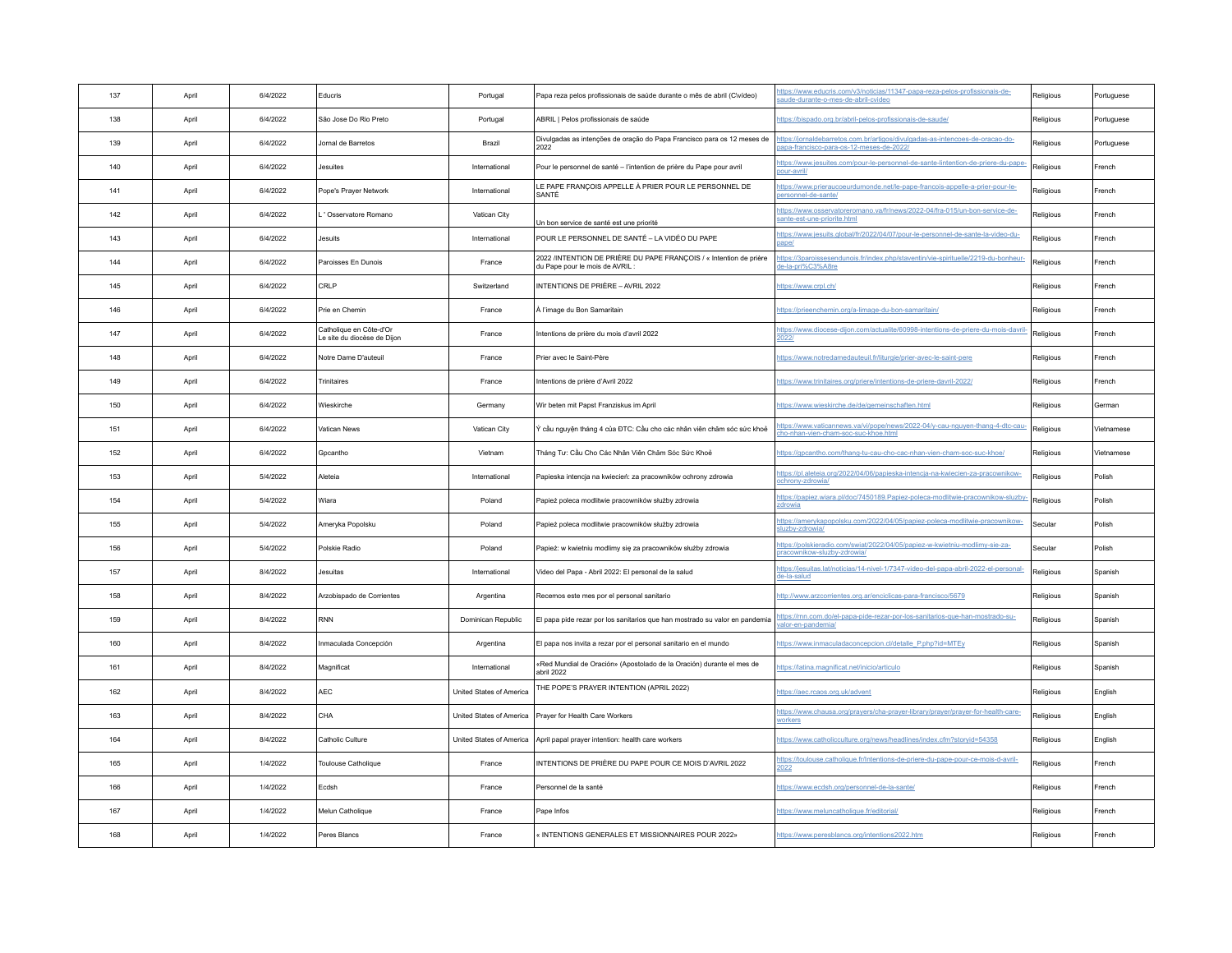| 137 | April | 6/4/2022 | Educris                                                | Portugal                 | Papa reza pelos profissionais de saúde durante o mês de abril (C\vídeo)                             | https://www.educris.com/v3/noticias/11347-papa-reza-pelos-profissionais-de-<br>aude-durante-o-mes-de-abril-cvideo        | Religious | Portuguese |
|-----|-------|----------|--------------------------------------------------------|--------------------------|-----------------------------------------------------------------------------------------------------|--------------------------------------------------------------------------------------------------------------------------|-----------|------------|
| 138 | April | 6/4/2022 | São Jose Do Rio Preto                                  | Portugal                 | ABRIL I Pelos profissionais de saúde                                                                | https://bispado.org.br/abril-pelos-profissionais-de-saude/                                                               | Religious | Portuguese |
| 139 | April | 6/4/2022 | Jornal de Barretos                                     | Brazil                   | Divulgadas as intenções de oração do Papa Francisco para os 12 meses de<br>2022                     | https://jornaldebarretos.com.br/artigos/divulgadas-as-intencoes-de-oracao-do-<br>apa-francisco-para-os-12-meses-de-2022/ | Religious | Portuguese |
| 140 | April | 6/4/2022 | Jesuites                                               | International            | Pour le personnel de santé - l'intention de prière du Pape pour avril                               | https://www.jesuites.com/pour-le-personnel-de-sante-lintention-de-priere-du-pape-<br>bour-avril/                         | Religious | French     |
| 141 | April | 6/4/2022 | Pope's Prayer Network                                  | International            | LE PAPE FRANÇOIS APPELLE À PRIER POUR LE PERSONNEL DE<br><b>SANTÉ</b>                               | https://www.prieraucoeurdumonde.net/le-pape-francois-appelle-a-prier-pour-le-<br>bersonnel-de-sante/                     | Religious | French     |
| 142 | April | 6/4/2022 | ' Osservatore Romano                                   | Vatican City             | Un bon service de santé est une priorité                                                            | https://www.osservatoreromano.va/fr/news/2022-04/fra-015/un-bon-service-de-<br>sante-est-une-priorite.html               | Religious | French     |
| 143 | April | 6/4/2022 | Jesuits                                                | International            | POUR LE PERSONNEL DE SANTÉ - LA VIDÉO DU PAPE                                                       | https://www.jesuits.global/fr/2022/04/07/pour-le-personnel-de-sante-la-video-du-                                         | Religious | French     |
| 144 | April | 6/4/2022 | Paroisses En Dunois                                    | France                   | 2022 /INTENTION DE PRIÈRE DU PAPE FRANÇOIS / « Intention de prière<br>du Pape pour le mois de AVRIL | https://3paroissesendunois.fr/index.php/staventin/vie-spirituelle/2219-du-bonheur-<br>de-la-pri%C3%A8re                  | Religious | French     |
| 145 | April | 6/4/2022 | CRLP                                                   | Switzerland              | INTENTIONS DE PRIÈRE - AVRIL 2022                                                                   | ttps://www.crpl.ch/                                                                                                      | Religious | French     |
| 146 | April | 6/4/2022 | Prie en Chemin                                         | France                   | À l'image du Bon Samaritain                                                                         | https://prieenchemin.org/a-limage-du-bon-samaritain/                                                                     | Religious | French     |
| 147 | April | 6/4/2022 | Catholique en Côte-d'Or<br>Le site du diocèse de Diion | France                   | Intentions de prière du mois d'avril 2022                                                           | https://www.diocese-dijon.com/actualite/60998-intentions-de-priere-du-mois-davril<br>2022/                               | Religious | French     |
| 148 | April | 6/4/2022 | Notre Dame D'auteuil                                   | France                   | Prier avec le Saint-Père                                                                            | https://www.notredamedauteuil.fr/liturgie/prier-avec-le-saint-pere                                                       | Religious | French     |
| 149 | April | 6/4/2022 | Trinitaires                                            | France                   | Intentions de prière d'Avril 2022                                                                   | https://www.trinitaires.org/priere/intentions-de-priere-davril-2022/                                                     | Religious | French     |
| 150 | April | 6/4/2022 | Wieskirche                                             | Germany                  | Wir beten mit Papst Franziskus im April                                                             | https://www.wieskirche.de/de/gemeinschaften.html                                                                         | Religious | German     |
| 151 | April | 6/4/2022 | Vatican News                                           | Vatican City             | Ý cầu nguyện tháng 4 của ĐTC: Cầu cho các nhân viên chăm sóc sức khoẻ                               | https://www.vaticannews.va/vi/pope/news/2022-04/y-cau-nguyen-thang-4-dtc-cau-<br>cho-nhan-vien-cham-soc-suc-khoe.html    | Religious | Vietnamese |
| 152 | April | 6/4/2022 | Gocantho                                               | Vietnam                  | Tháng Tư: Cầu Cho Các Nhân Viên Chăm Sóc Sức Khoẻ                                                   | https://gpcantho.com/thang-tu-cau-cho-cac-nhan-vien-cham-soc-suc-khoe/                                                   | Religious | Vietnamese |
| 153 | April | 5/4/2022 | Aleteia                                                | International            | Papieska intencja na kwiecień: za pracowników ochrony zdrowia                                       | https://pl.aleteia.org/2022/04/06/papieska-intencja-na-kwiecien-za-pracownikow-<br>ochronv-zdrowia/                      | Religious | Polish     |
| 154 | April | 5/4/2022 | Wiara                                                  | Poland                   | Papież poleca modlitwie pracowników służby zdrowia                                                  | https://papiez.wiara.pl/doc/7450189.Papiez-poleca-modlitwie-pracownikow-sluzby<br><u>zdrowia</u>                         | Religious | Polish     |
| 155 | April | 5/4/2022 | Ameryka Popolsku                                       | Poland                   | Papież poleca modlitwie pracowników służby zdrowia                                                  | https://amerykapopolsku.com/2022/04/05/papiez-poleca-modlitwie-pracownikow-<br>sluzby-zdrowia                            | Secular   | Polish     |
| 156 | April | 5/4/2022 | Polskie Radio                                          | Poland                   | Papież: w kwietniu modlimy się za pracowników służby zdrowia                                        | https://polskieradio.com/swiat/2022/04/05/papiez-w-kwietniu-modlimy-sie-za-<br>oracownikow-sluzby-zdrowia/               | Secular   | Polish     |
| 157 | April | 8/4/2022 | Jesuitas                                               | International            | Video del Papa - Abril 2022: El personal de la salud                                                | https://jesuitas.lat/noticias/14-nivel-1/7347-video-del-papa-abril-2022-el-personal-<br><u>de-la-salud</u>               | Religious | Spanish    |
| 158 | April | 8/4/2022 | Arzobispado de Corrientes                              | Argentina                | Recemos este mes por el personal sanitario                                                          | http://www.arzcorrientes.org.ar/enciclicas-para-francisco/5679                                                           | Religious | Spanish    |
| 159 | April | 8/4/2022 | <b>RNN</b>                                             | Dominican Republic       | El papa pide rezar por los sanitarios que han mostrado su valor en pandemia                         | https://rnn.com.do/el-papa-pide-rezar-por-los-sanitarios-que-han-mostrado-su-<br>valor-en-pandemia/                      | Religious | Spanish    |
| 160 | April | 8/4/2022 | Inmaculada Concepción                                  | Argentina                | El papa nos invita a rezar por el personal sanitario en el mundo                                    | https://www.inmaculadaconcepcion.cl/detalle_P.php?id=MTEy                                                                | Religious | Spanish    |
| 161 | April | 8/4/2022 | Magnificat                                             | International            | «Red Mundial de Oración» (Apostolado de la Oración) durante el mes de<br>abril 2022                 | https://latina.magnificat.net/inicio/articulo                                                                            | Religious | Spanish    |
| 162 | April | 8/4/2022 | <b>AEC</b>                                             | United States of America | THE POPE'S PRAYER INTENTION (APRIL 2022)                                                            | ttps://aec.rcaos.org.uk/advent                                                                                           | Religious | English    |
| 163 | April | 8/4/2022 | CHA                                                    | United States of America | Prayer for Health Care Workers                                                                      | https://www.chausa.org/prayers/cha-prayer-library/prayer/prayer-for-health-care-<br><u>workers</u>                       | Religious | English    |
| 164 | April | 8/4/2022 | Catholic Culture                                       |                          | United States of America   April papal prayer intention: health care workers                        | https://www.catholicculture.org/news/headlines/index.cfm?storyid=54358                                                   | Religious | English    |
| 165 | April | 1/4/2022 | Toulouse Catholique                                    | France                   | INTENTIONS DE PRIÈRE DU PAPE POUR CE MOIS D'AVRIL 2022                                              | https://toulouse.catholique.fr/Intentions-de-priere-du-pape-pour-ce-mois-d-avril-<br>2022                                | Religious | French     |
| 166 | April | 1/4/2022 | Ecdsh                                                  | France                   | Personnel de la santé                                                                               | https://www.ecdsh.org/personnel-de-la-sante/                                                                             | Religious | French     |
| 167 | April | 1/4/2022 | Melun Catholique                                       | France                   | Pape Infos                                                                                          | https://www.meluncatholique.fr/editorial/                                                                                | Religious | French     |
| 168 | April | 1/4/2022 | Peres Blancs                                           | France                   | « INTENTIONS GENERALES ET MISSIONNAIRES POUR 2022»                                                  | https://www.peresblancs.org/intentions2022.htm                                                                           | Religious | French     |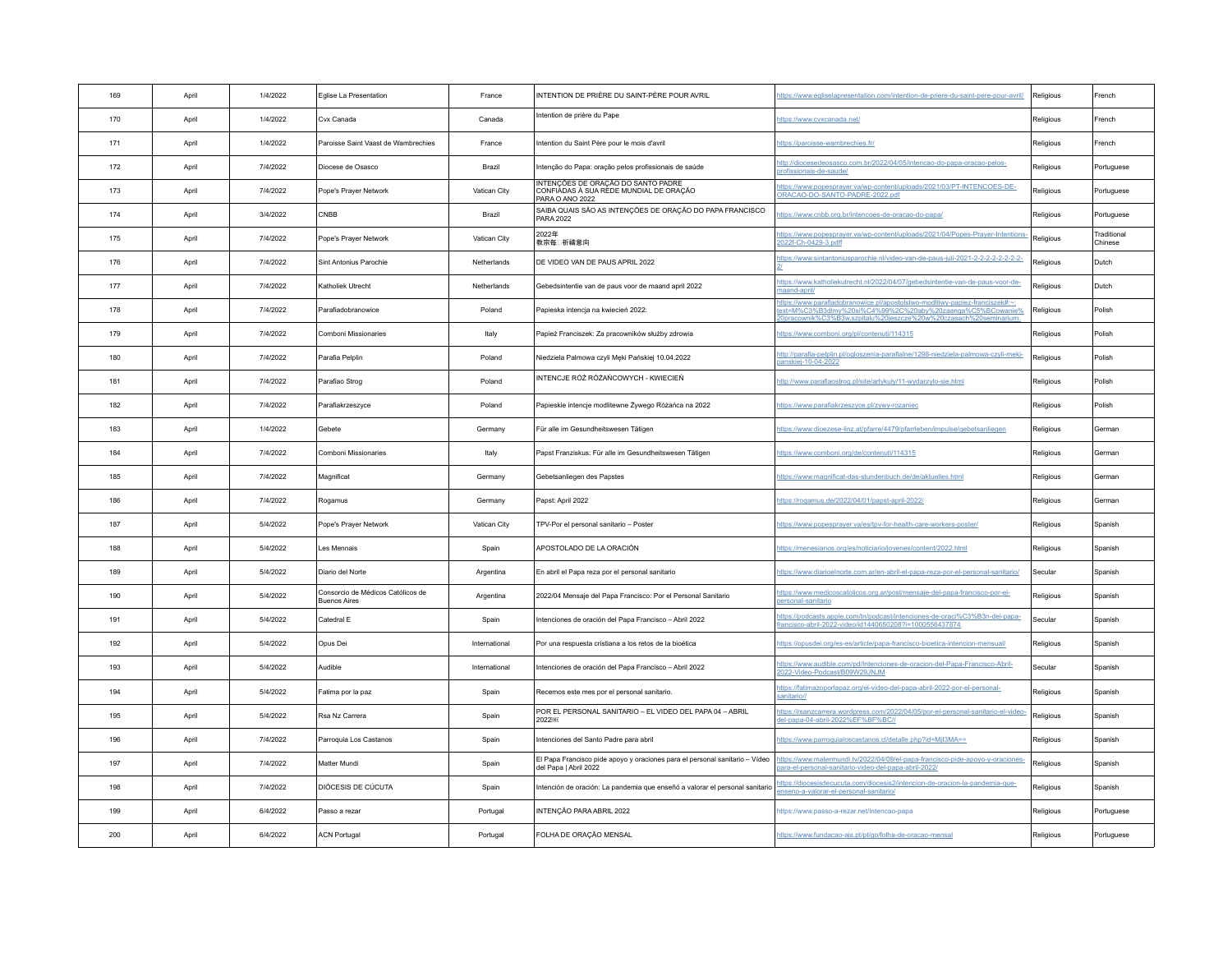| 169 | April | 1/4/2022 | Eglise La Presentation                                   | France        | INTENTION DE PRIÈRE DU SAINT-PÈRE POUR AVRIL                                                         | https://www.egliselapresentation.com/intention-de-priere-du-saint-pere-pour-avril/                                                                                                                                  | Religious | French                 |
|-----|-------|----------|----------------------------------------------------------|---------------|------------------------------------------------------------------------------------------------------|---------------------------------------------------------------------------------------------------------------------------------------------------------------------------------------------------------------------|-----------|------------------------|
| 170 | April | 1/4/2022 | Cvx Canada                                               | Canada        | Intention de prière du Pape                                                                          | https://www.cvxcanada.net/                                                                                                                                                                                          | Religious | French                 |
| 171 | April | 1/4/2022 | Paroisse Saint Vaast de Wambrechies                      | France        | Intention du Saint Père pour le mois d'avril                                                         | ttps://paroisse-wambrechies.fr/                                                                                                                                                                                     | Religious | French                 |
| 172 | April | 7/4/2022 | Diocese de Osasco                                        | Brazil        | Intenção do Papa: oração pelos profissionais de saúde                                                | http://diocesedeosasco.com.br/2022/04/05/intencao-do-papa-oracao-pelos-<br>profissionais-de-saude                                                                                                                   | Religious | Portuguese             |
| 173 | April | 7/4/2022 | Pope's Prayer Network                                    | Vatican City  | INTENÇÕES DE ORAÇÃO DO SANTO PADRE<br>CONFIÁDAS À SUA RÉDE MUNDIAL DE ORAÇÃO<br>PARA O ANO 2022      | https://www.popesprayer.va/wp-content/uploads/2021/03/PT-INTENCOES-DE-<br>DRACAO-DO-SANTO-PADRE-2022.pdf                                                                                                            | Religious | Portuguese             |
| 174 | April | 3/4/2022 | CNBB                                                     | Brazil        | SAIBA QUAIS SÃO AS INTENÇÕES DE ORAÇÃO DO PAPA FRANCISCO<br><b>PARA 2022</b>                         | ttps://www.cnbb.org.br/intencoes-de-oracao-do-papa/                                                                                                                                                                 | Religious | Portuguese             |
| 175 | April | 7/4/2022 | Pope's Praver Network                                    | Vatican City  | 2022年<br>教宗毎□祈禱意向                                                                                    | https://www.popesprayer.va/wp-content/uploads/2021/04/Popes-Prayer-Intentions<br>022f-Ch-0429-3.pdff                                                                                                                | Religious | Traditional<br>Chinese |
| 176 | April | 7/4/2022 | Sint Antonius Parochie                                   | Netherlands   | DE VIDEO VAN DE PAUS APRIL 2022                                                                      | https://www.sintantoniusparochie.nl/video-van-de-paus-iuli-2021-2-2-2-2-2-2-2-2-                                                                                                                                    | Religious | Dutch                  |
| 177 | April | 7/4/2022 | Katholiek Utrecht                                        | Netherlands   | Gebedsintentie van de paus voor de maand april 2022                                                  | https://www.katholiekutrecht.nl/2022/04/07/gebedsintentie-van-de-paus-voor-de-<br>naand-april/                                                                                                                      | Religious | Dutch                  |
| 178 | April | 7/4/2022 | Parafiadobranowice                                       | Poland        | Papieska intencja na kwiecień 2022:                                                                  | <u>nttps://www.parafiadobranowice.pl/apostolstwo-modlitwy-papiez-franciszek#:~:</u><br>ext=M%C3%B3dlmy%20si%C4%99%2C%20aby%20zaanga%C5%BCowanie%<br>0pracownik%C3%B3w.szpitalu%20ieszcze%20w%20czasach%20seminarium | Religious | Polish                 |
| 179 | April | 7/4/2022 | Comboni Missionaries                                     | Italy         | Papież Franciszek: Za pracowników służby zdrowia                                                     | https://www.comboni.org/pl/contenuti/114315                                                                                                                                                                         | Religious | Polish                 |
| 180 | April | 7/4/2022 | Parafia Pelplin                                          | Poland        | Niedziela Palmowa czyli Męki Pańskiej 10.04.2022                                                     | http://parafia-pelplin.pl/ogloszenia-parafialne/1298-niedziela-palmowa-czyli-meki-<br>panskiej-10-04-2022                                                                                                           | Religious | Polish                 |
| 181 | April | 7/4/2022 | Parafiao Strog                                           | Poland        | INTENCJE RÓŻ RÓŻAŃCOWYCH - KWIECIEŃ                                                                  | http://www.parafiaostrog.pl/site/artykuly/11-wydarzylo-sie.html                                                                                                                                                     | Religious | Polish                 |
| 182 | April | 7/4/2022 | Parafiakrzeszyce                                         | Poland        | Papieskie intencje modlitewne Żywego Różańca na 2022                                                 | https://www.parafiakrzeszyce.pl/zywy-rozaniec                                                                                                                                                                       | Religious | Polish                 |
| 183 | April | 1/4/2022 | Gebete                                                   | Germany       | Für alle im Gesundheitswesen Tätigen                                                                 | https://www.dioezese-linz.at/pfarre/4479/pfarrleben/impulse/gebetsanliegen                                                                                                                                          | Religious | German                 |
| 184 | April | 7/4/2022 | Comboni Missionaries                                     | Italy         | Papst Franziskus: Für alle im Gesundheitswesen Tätigen                                               | https://www.comboni.org/de/contenuti/114315                                                                                                                                                                         | Religious | German                 |
| 185 | April | 7/4/2022 | Magnificat                                               | Germany       | Gebetsanliegen des Papstes                                                                           | https://www.magnificat-das-stundenbuch.de/de/aktuelles.html                                                                                                                                                         | Religious | German                 |
| 186 | April | 7/4/2022 | Rogamus                                                  | Germany       | Papst: April 2022                                                                                    | ttps://rogamus.de/2022/04/01/papst-april-2022/                                                                                                                                                                      | Religious | German                 |
| 187 | April | 5/4/2022 | Pope's Prayer Network                                    | Vatican City  | TPV-Por el personal sanitario - Poster                                                               | https://www.popesprayer.va/es/tpv-for-health-care-workers-poster/                                                                                                                                                   | Religious | Spanish                |
| 188 | April | 5/4/2022 | Les Mennais                                              | Spain         | APOSTOLADO DE LA ORACIÓN                                                                             | https://menesianos.org/es/noticiario/jovenes/content/2022.html                                                                                                                                                      | Religious | Spanish                |
| 189 | April | 5/4/2022 | Diario del Norte                                         | Argentina     | En abril el Papa reza por el personal sanitario                                                      | ttps://www.diarioelnorte.com.ar/en-abril-el-papa-reza-por-el-personal-sanitario/                                                                                                                                    | Secular   | Spanish                |
| 190 | April | 5/4/2022 | Consorcio de Médicos Católicos de<br><b>Buenos Aires</b> | Argentina     | 2022/04 Mensaie del Papa Francisco: Por el Personal Sanitario                                        | https://www.medicoscatolicos.org.ar/post/mensaje-del-papa-francisco-por-el-<br>personal-sanitario                                                                                                                   | Religious | Spanish                |
| 191 | April | 5/4/2022 | Catedral E                                               | Spain         | Intenciones de oración del Papa Francisco - Abril 2022                                               | https://podcasts.apple.com/tn/podcast/intenciones-de-oraci%C3%B3n-del-papa-<br>rancisco-abril-2022-video/id1440650208?i=1000556437874                                                                               | Secular   | Spanish                |
| 192 | April | 5/4/2022 | Opus Dei                                                 | International | Por una respuesta cristiana a los retos de la bioética                                               | https://opusdei.org/es-es/article/papa-francisco-bioetica-intencion-mensual/                                                                                                                                        | Religious | Spanish                |
| 193 | April | 5/4/2022 | Audible                                                  | International | Intenciones de oración del Papa Francisco - Abril 2022                                               | https://www.audible.com/pd/Intenciones-de-oracion-del-Papa-Francisco-Abril-<br>022-Video-Podcast/B09W29JNJM                                                                                                         | Secular   | Spanish                |
| 194 | April | 5/4/2022 | Fatima por la paz                                        | Spain         | Recemos este mes por el personal sanitario.                                                          | https://fatimazoporlapaz.org/el-video-del-papa-abril-2022-por-el-personal-<br>anitario//                                                                                                                            | Religious | Spanish                |
| 195 | April | 5/4/2022 | Rsa Nz Carrera                                           | Spain         | POR EL PERSONAL SANITARIO - EL VIDEO DEL PAPA 04 - ABRIL<br>2022                                     | https://rsanzcarrera.wordpress.com/2022/04/05/por-el-personal-sanitario-el-video-<br>del-papa-04-abril-2022%EF%BF%BC//                                                                                              | Religious | Spanish                |
| 196 | April | 7/4/2022 | Parroquia Los Castanos                                   | Spain         | Intenciones del Santo Padre para abril                                                               | https://www.parroquialoscastanos.cl/detalle.php?id=Mjl3MA==                                                                                                                                                         | Religious | Spanish                |
| 197 | April | 7/4/2022 | Matter Mundi                                             | Spain         | El Papa Francisco pide apoyo y oraciones para el personal sanitario - Vídeo<br>del Papa I Abril 2022 | https://www.matermundi.tv/2022/04/09/el-papa-francisco-pide-apoyo-y-oraciones-<br>para-el-personal-sanitario-video-del-papa-abril-2022/                                                                             | Religious | Spanish                |
| 198 | April | 7/4/2022 | DIÓCESIS DE CÚCUTA                                       | Spain         | Intención de oración: La pandemia que enseñó a valorar el personal sanitario                         | https://diocesisdecucuta.com/diocesis2/intencion-de-oracion-la-pandemia-que-<br>nseno-a-valorar-el-personal-sanitario/                                                                                              | Religious | Spanish                |
| 199 | April | 6/4/2022 | Passo a rezar                                            | Portugal      | INTENCÃO PARA ABRIL 2022                                                                             | https://www.passo-a-rezar.net/intencao-papa                                                                                                                                                                         | Religious | Portuguese             |
| 200 | April | 6/4/2022 | <b>ACN Portugal</b>                                      | Portugal      | FOLHA DE ORAÇÃO MENSAL                                                                               | https://www.fundacao-ais.pt/pt/go/folha-de-oracao-mensal                                                                                                                                                            | Religious | Portuguese             |